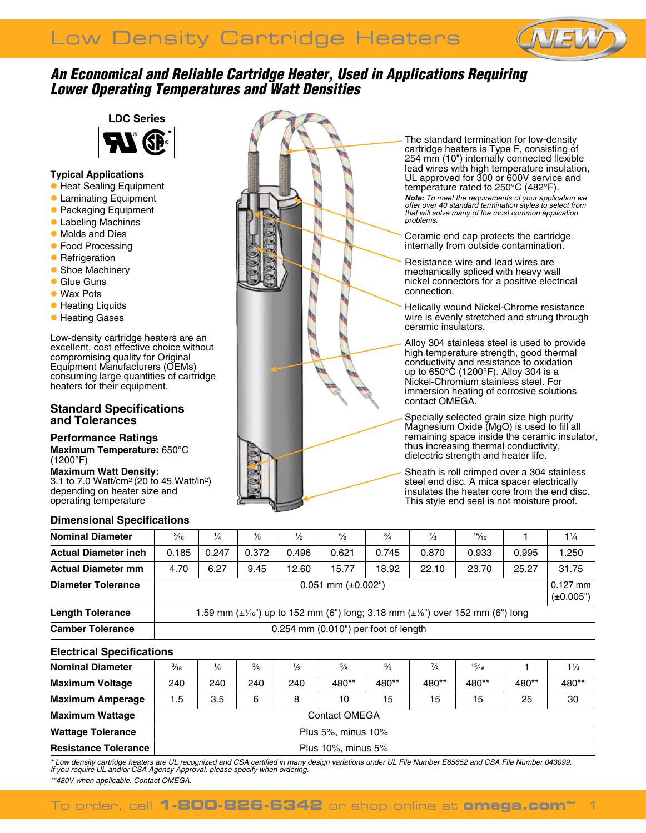# Low Density Cartridge Heaters



# *An Economical and Reliable Cartridge Heater, Used in Applications Requiring Lower Operating Temperatures and Watt Densities*

# **LDC Series**



## **Typical Applications**

- **Heat Sealing Equipment**
- **C** Laminating Equipment
- **Packaging Equipment**
- **Labeling Machines**
- Molds and Dies
- **Food Processing**
- **Refrigeration**
- **Shoe Machinery**
- **C** Glue Guns
- **May Pote**
- **Heating Liquids**
- **Heating Gases**

Low-density cartridge heaters are an excellent, cost effective choice without compromising quality for Original Equipment Manufacturers (OEMs) consuming large quantities of cartridge heaters for their equipment.

## **Standard Specifications and Tolerances**

#### **Performance Ratings**

**Maximum Temperature:** 650°C (1200°F)

**Maximum Watt Density:** 3.1 to 7.0 Watt/cm2 (20 to 45 Watt/in2) depending on heater size and operating temperature

#### **Dimensional Specifications**



The standard termination for low-density cartridge heaters is Type F, consisting of 254 mm (10") internally connected flexible lead wires with high temperature insulation, UL approved for 300 or 600V service and temperature rated to 250°C (482°F). *Note: To meet the requirements of your application we offer over 40 standard termination styles to select from that will solve many of the most common application problems.* 

Ceramic end cap protects the cartridge internally from outside contamination.

Resistance wire and lead wires are mechanically spliced with heavy wall nickel connectors for a positive electrical connection.

Helically wound Nickel-Chrome resistance wire is evenly stretched and strung through ceramic insulators.

Alloy 304 stainless steel is used to provide high temperature strength, good thermal conductivity and resistance to oxidation up to 650°C (1200°F). Alloy 304 is a Nickel-Chromium stainless steel. For immersion heating of corrosive solutions contact OMEGA.

Specially selected grain size high purity Magnesium Oxide (MgO) is used to fill all remaining space inside the ceramic insulator, thus increasing thermal conductivity, dielectric strength and heater life.

Sheath is roll crimped over a 304 stainless steel end disc. A mica spacer electrically insulates the heater core from the end disc. This style end seal is not moisture proof.

| <b>Nominal Diameter</b>     | $\frac{3}{16}$                                                                                             | $\frac{1}{4}$ | $\frac{3}{8}$ | $\frac{1}{2}$ | $\frac{5}{8}$ | $\frac{3}{4}$ | $\frac{7}{8}$ | $^{15}/_{16}$ |       | $1\frac{1}{4}$ |  |
|-----------------------------|------------------------------------------------------------------------------------------------------------|---------------|---------------|---------------|---------------|---------------|---------------|---------------|-------|----------------|--|
| <b>Actual Diameter inch</b> | 0.185                                                                                                      | 0.247         | 0.372         | 0.496         | 0.621         | 0.745         | 0.870         | 0.933         | 0.995 | 1.250          |  |
| <b>Actual Diameter mm</b>   | 4.70                                                                                                       | 6.27          | 9.45          | 12.60         | 15.77         | 18.92         | 22.10         | 23.70         | 25.27 | 31.75          |  |
| <b>Diameter Tolerance</b>   | $0.051$ mm ( $\pm 0.002$ ")                                                                                |               |               |               |               |               |               |               |       |                |  |
| <b>Length Tolerance</b>     | 1.59 mm ( $\pm\frac{1}{16}$ ") up to 152 mm (6") long; 3.18 mm ( $\pm\frac{1}{8}$ ") over 152 mm (6") long |               |               |               |               |               |               |               |       |                |  |
| <b>Camber Tolerance</b>     | $0.254$ mm $(0.010)$ per foot of length                                                                    |               |               |               |               |               |               |               |       |                |  |

## **Electrical Specifications**

| <b>Nominal Diameter</b>     | $\frac{3}{16}$       | $\frac{1}{4}$ | $\frac{3}{8}$ | $\frac{1}{2}$ | $\frac{5}{8}$ | $\frac{3}{4}$ | $\frac{7}{8}$ | 15/16 |       | $1\frac{1}{4}$ |  |
|-----------------------------|----------------------|---------------|---------------|---------------|---------------|---------------|---------------|-------|-------|----------------|--|
| <b>Maximum Voltage</b>      | 240                  | 240           | 240           | 240           | 480**         | 480**         | 480**         | 480** | 480** | 480**          |  |
| <b>Maximum Amperage</b>     | 1.5                  | 3.5           | 6             | 8             | 10            | 15            | 15            | 15    | 25    | 30             |  |
| <b>Maximum Wattage</b>      | <b>Contact OMEGA</b> |               |               |               |               |               |               |       |       |                |  |
| <b>Wattage Tolerance</b>    | Plus 5%, minus 10%   |               |               |               |               |               |               |       |       |                |  |
| <b>Resistance Tolerance</b> | Plus 10%, minus 5%   |               |               |               |               |               |               |       |       |                |  |

*\* Low density cartridge heaters are UL recognized and CSA certified in many design variations under UL File Number E65652 and CSA File Number 043099. If you require UL and/or CSA Agency Approval, please specify when ordering.*

*\*\*480V when applicable. Contact Omega.*